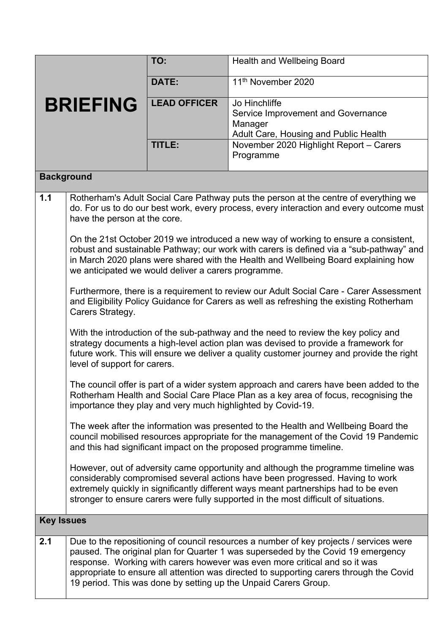|                   |                                                                                                                                                                                                                                                                                                                             | TO:                 | Health and Wellbeing Board                                                                                                                                                                                                                                                                                                                                                                                             |  |  |
|-------------------|-----------------------------------------------------------------------------------------------------------------------------------------------------------------------------------------------------------------------------------------------------------------------------------------------------------------------------|---------------------|------------------------------------------------------------------------------------------------------------------------------------------------------------------------------------------------------------------------------------------------------------------------------------------------------------------------------------------------------------------------------------------------------------------------|--|--|
| <b>BRIEFING</b>   |                                                                                                                                                                                                                                                                                                                             | DATE:               | 11 <sup>th</sup> November 2020                                                                                                                                                                                                                                                                                                                                                                                         |  |  |
|                   |                                                                                                                                                                                                                                                                                                                             | <b>LEAD OFFICER</b> | Jo Hinchliffe<br>Service Improvement and Governance<br>Manager<br>Adult Care, Housing and Public Health                                                                                                                                                                                                                                                                                                                |  |  |
|                   |                                                                                                                                                                                                                                                                                                                             | TITLE:              | November 2020 Highlight Report - Carers<br>Programme                                                                                                                                                                                                                                                                                                                                                                   |  |  |
| <b>Background</b> |                                                                                                                                                                                                                                                                                                                             |                     |                                                                                                                                                                                                                                                                                                                                                                                                                        |  |  |
| 1.1               | have the person at the core.                                                                                                                                                                                                                                                                                                |                     | Rotherham's Adult Social Care Pathway puts the person at the centre of everything we<br>do. For us to do our best work, every process, every interaction and every outcome must                                                                                                                                                                                                                                        |  |  |
|                   | On the 21st October 2019 we introduced a new way of working to ensure a consistent,<br>robust and sustainable Pathway; our work with carers is defined via a "sub-pathway" and<br>in March 2020 plans were shared with the Health and Wellbeing Board explaining how<br>we anticipated we would deliver a carers programme. |                     |                                                                                                                                                                                                                                                                                                                                                                                                                        |  |  |
|                   | Furthermore, there is a requirement to review our Adult Social Care - Carer Assessment<br>and Eligibility Policy Guidance for Carers as well as refreshing the existing Rotherham<br>Carers Strategy.                                                                                                                       |                     |                                                                                                                                                                                                                                                                                                                                                                                                                        |  |  |
|                   | With the introduction of the sub-pathway and the need to review the key policy and<br>strategy documents a high-level action plan was devised to provide a framework for<br>future work. This will ensure we deliver a quality customer journey and provide the right<br>level of support for carers.                       |                     |                                                                                                                                                                                                                                                                                                                                                                                                                        |  |  |
|                   |                                                                                                                                                                                                                                                                                                                             |                     | The council offer is part of a wider system approach and carers have been added to the<br>Rotherham Health and Social Care Place Plan as a key area of focus, recognising the<br>importance they play and very much highlighted by Covid-19.                                                                                                                                                                           |  |  |
|                   |                                                                                                                                                                                                                                                                                                                             |                     | The week after the information was presented to the Health and Wellbeing Board the<br>council mobilised resources appropriate for the management of the Covid 19 Pandemic<br>and this had significant impact on the proposed programme timeline.                                                                                                                                                                       |  |  |
|                   |                                                                                                                                                                                                                                                                                                                             |                     | However, out of adversity came opportunity and although the programme timeline was<br>considerably compromised several actions have been progressed. Having to work<br>extremely quickly in significantly different ways meant partnerships had to be even<br>stronger to ensure carers were fully supported in the most difficult of situations.                                                                      |  |  |
| <b>Key Issues</b> |                                                                                                                                                                                                                                                                                                                             |                     |                                                                                                                                                                                                                                                                                                                                                                                                                        |  |  |
| 2.1               |                                                                                                                                                                                                                                                                                                                             |                     | Due to the repositioning of council resources a number of key projects / services were<br>paused. The original plan for Quarter 1 was superseded by the Covid 19 emergency<br>response. Working with carers however was even more critical and so it was<br>appropriate to ensure all attention was directed to supporting carers through the Covid<br>19 period. This was done by setting up the Unpaid Carers Group. |  |  |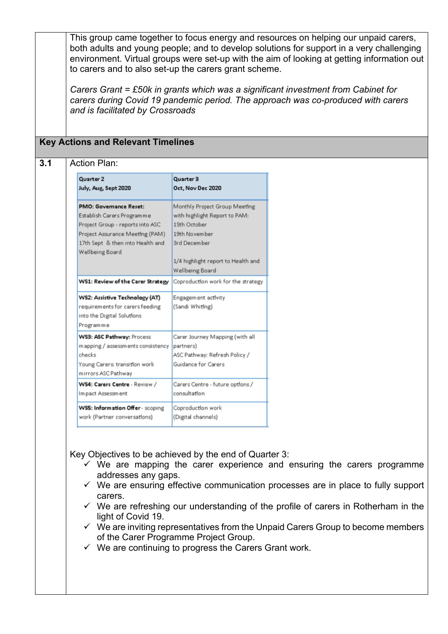This group came together to focus energy and resources on helping our unpaid carers, both adults and young people; and to develop solutions for support in a very challenging environment. Virtual groups were set-up with the aim of looking at getting information out to carers and to also set-up the carers grant scheme.

*Carers Grant = £50k in grants which was a significant investment from Cabinet for carers during Covid 19 pandemic period. The approach was co-produced with carers and is facilitated by Crossroads*

## **Key Actions and Relevant Timelines**

## **3.1** Action Plan:

| Quarter 2<br>July, Aug, Sept 2020                                                                                                                                                         | Quarter 3<br>Oct, Nov Dec 2020                                                                                                                                           |
|-------------------------------------------------------------------------------------------------------------------------------------------------------------------------------------------|--------------------------------------------------------------------------------------------------------------------------------------------------------------------------|
| <b>PMO: Governance Reset:</b><br>Establish Carers Programme<br>Project Group - reports into ASC<br>Project Assurance Meeting (PAM)<br>17th Sept & then into Health and<br>Wellbeing Board | Monthly Project Group Meeting<br>with highlight Report to PAM:<br>15th October<br>19th November<br>3rd December<br>1/4 highlight report to Health and<br>Wellbeing Board |
| WS1: Review of the Carer Strategy                                                                                                                                                         | Coproduction work for the strategy                                                                                                                                       |
| WS2: Assistive Technology (AT)<br>requirements for carers feeding<br>into the Digital Solutions<br>Programme                                                                              | Engagement activity<br>(Sandi Whiting)                                                                                                                                   |
| WS3: ASC Pathway: Process<br>mapping / assessments consistency<br>checks<br>Young Carers: transition work<br>mirrors ASC Pathway                                                          | Carer Journey Mapping (with all<br>partners)<br>ASC Pathway: Refresh Policy /<br>Guidance for Carers                                                                     |
| WS4: Carers Centre - Review /<br>Im pact Assessment                                                                                                                                       | Carers Centre - future options /<br>consultation                                                                                                                         |
| WS5: Information Offer - scoping<br>work (Partner conversations)                                                                                                                          | Coproduction work<br>(Digital channels)                                                                                                                                  |

Key Objectives to be achieved by the end of Quarter 3:

- $\checkmark$  We are mapping the carer experience and ensuring the carers programme addresses any gaps.
- $\checkmark$  We are ensuring effective communication processes are in place to fully support carers.
- $\checkmark$  We are refreshing our understanding of the profile of carers in Rotherham in the light of Covid 19.
- $\checkmark$  We are inviting representatives from the Unpaid Carers Group to become members of the Carer Programme Project Group.
- $\checkmark$  We are continuing to progress the Carers Grant work.